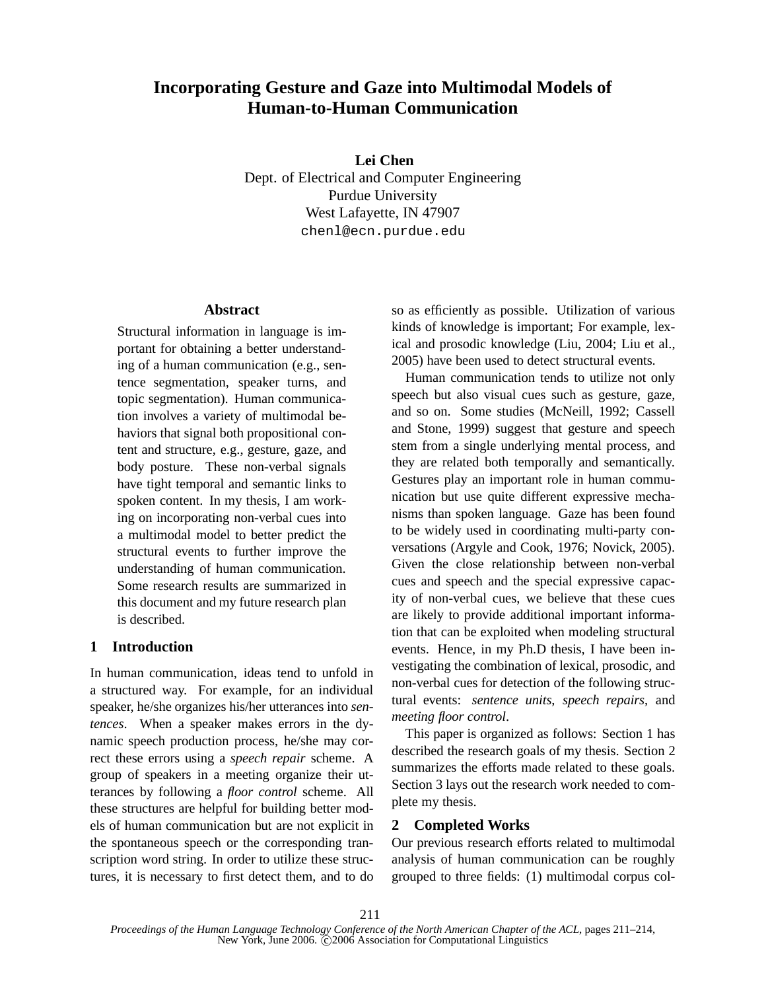# **Incorporating Gesture and Gaze into Multimodal Models of Human-to-Human Communication**

**Lei Chen** Dept. of Electrical and Computer Engineering Purdue University West Lafayette, IN 47907 chenl@ecn.purdue.edu

### **Abstract**

Structural information in language is important for obtaining a better understanding of a human communication (e.g., sentence segmentation, speaker turns, and topic segmentation). Human communication involves a variety of multimodal behaviors that signal both propositional content and structure, e.g., gesture, gaze, and body posture. These non-verbal signals have tight temporal and semantic links to spoken content. In my thesis, I am working on incorporating non-verbal cues into a multimodal model to better predict the structural events to further improve the understanding of human communication. Some research results are summarized in this document and my future research plan is described.

# **1 Introduction**

In human communication, ideas tend to unfold in a structured way. For example, for an individual speaker, he/she organizes his/her utterances into *sentences*. When a speaker makes errors in the dynamic speech production process, he/she may correct these errors using a *speech repair* scheme. A group of speakers in a meeting organize their utterances by following a *floor control* scheme. All these structures are helpful for building better models of human communication but are not explicit in the spontaneous speech or the corresponding transcription word string. In order to utilize these structures, it is necessary to first detect them, and to do so as efficiently as possible. Utilization of various kinds of knowledge is important; For example, lexical and prosodic knowledge (Liu, 2004; Liu et al., 2005) have been used to detect structural events.

Human communication tends to utilize not only speech but also visual cues such as gesture, gaze, and so on. Some studies (McNeill, 1992; Cassell and Stone, 1999) suggest that gesture and speech stem from a single underlying mental process, and they are related both temporally and semantically. Gestures play an important role in human communication but use quite different expressive mechanisms than spoken language. Gaze has been found to be widely used in coordinating multi-party conversations (Argyle and Cook, 1976; Novick, 2005). Given the close relationship between non-verbal cues and speech and the special expressive capacity of non-verbal cues, we believe that these cues are likely to provide additional important information that can be exploited when modeling structural events. Hence, in my Ph.D thesis, I have been investigating the combination of lexical, prosodic, and non-verbal cues for detection of the following structural events: *sentence units*, *speech repairs*, and *meeting floor control*.

This paper is organized as follows: Section 1 has described the research goals of my thesis. Section 2 summarizes the efforts made related to these goals. Section 3 lays out the research work needed to complete my thesis.

# **2 Completed Works**

Our previous research efforts related to multimodal analysis of human communication can be roughly grouped to three fields: (1) multimodal corpus col-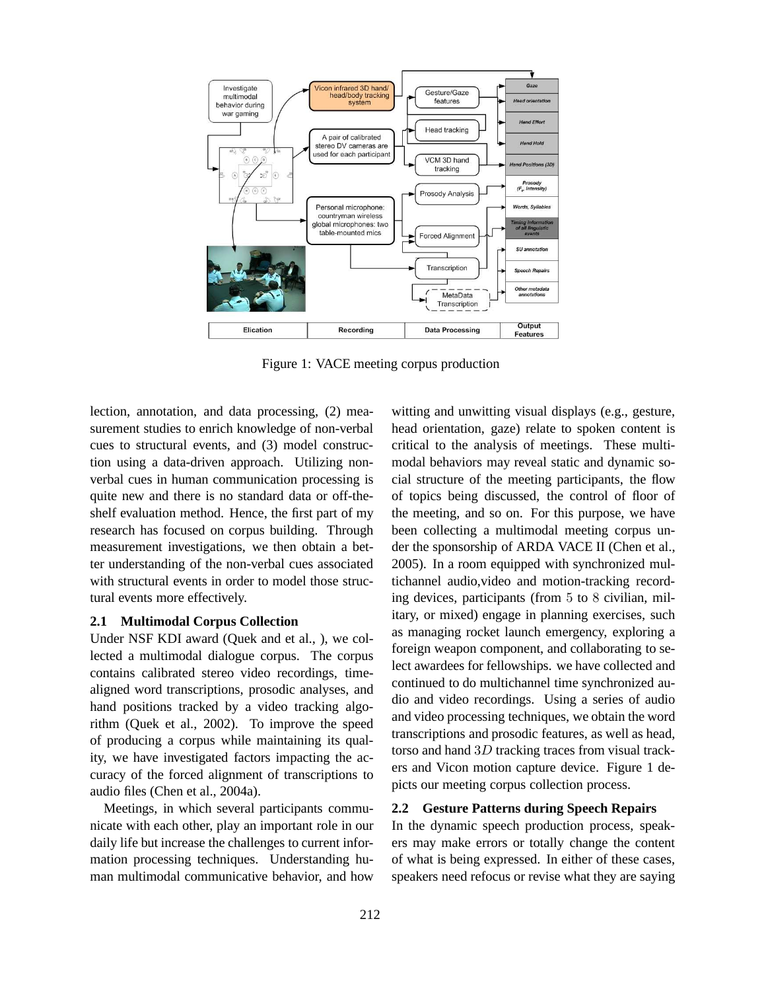

Figure 1: VACE meeting corpus production

lection, annotation, and data processing, (2) measurement studies to enrich knowledge of non-verbal cues to structural events, and (3) model construction using a data-driven approach. Utilizing nonverbal cues in human communication processing is quite new and there is no standard data or off-theshelf evaluation method. Hence, the first part of my research has focused on corpus building. Through measurement investigations, we then obtain a better understanding of the non-verbal cues associated with structural events in order to model those structural events more effectively.

### **2.1 Multimodal Corpus Collection**

Under NSF KDI award (Quek and et al., ), we collected a multimodal dialogue corpus. The corpus contains calibrated stereo video recordings, timealigned word transcriptions, prosodic analyses, and hand positions tracked by a video tracking algorithm (Quek et al., 2002). To improve the speed of producing a corpus while maintaining its quality, we have investigated factors impacting the accuracy of the forced alignment of transcriptions to audio files (Chen et al., 2004a).

Meetings, in which several participants communicate with each other, play an important role in our daily life but increase the challenges to current information processing techniques. Understanding human multimodal communicative behavior, and how witting and unwitting visual displays (e.g., gesture, head orientation, gaze) relate to spoken content is critical to the analysis of meetings. These multimodal behaviors may reveal static and dynamic social structure of the meeting participants, the flow of topics being discussed, the control of floor of the meeting, and so on. For this purpose, we have been collecting a multimodal meeting corpus under the sponsorship of ARDA VACE II (Chen et al., 2005). In a room equipped with synchronized multichannel audio,video and motion-tracking recording devices, participants (from 5 to 8 civilian, military, or mixed) engage in planning exercises, such as managing rocket launch emergency, exploring a foreign weapon component, and collaborating to select awardees for fellowships. we have collected and continued to do multichannel time synchronized audio and video recordings. Using a series of audio and video processing techniques, we obtain the word transcriptions and prosodic features, as well as head, torso and hand 3D tracking traces from visual trackers and Vicon motion capture device. Figure 1 depicts our meeting corpus collection process.

#### **2.2 Gesture Patterns during Speech Repairs**

In the dynamic speech production process, speakers may make errors or totally change the content of what is being expressed. In either of these cases, speakers need refocus or revise what they are saying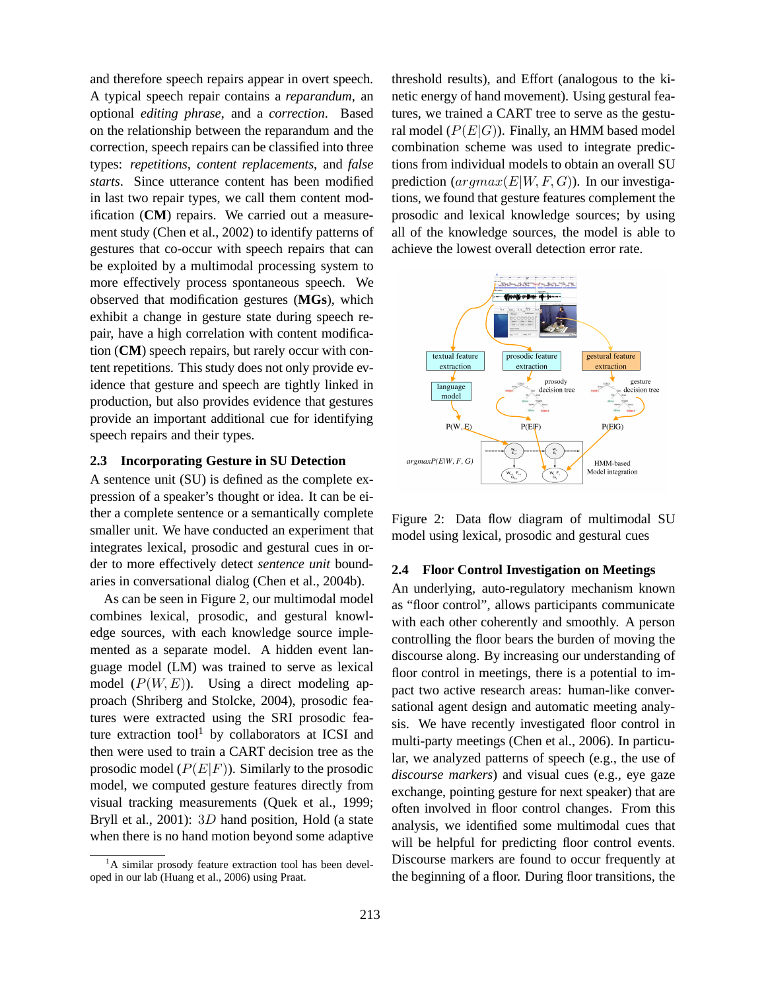and therefore speech repairs appear in overt speech. A typical speech repair contains a *reparandum*, an optional *editing phrase*, and a *correction*. Based on the relationship between the reparandum and the correction, speech repairs can be classified into three types: *repetitions*, *content replacements*, and *false starts*. Since utterance content has been modified in last two repair types, we call them content modification (**CM**) repairs. We carried out a measurement study (Chen et al., 2002) to identify patterns of gestures that co-occur with speech repairs that can be exploited by a multimodal processing system to more effectively process spontaneous speech. We observed that modification gestures (**MGs**), which exhibit a change in gesture state during speech repair, have a high correlation with content modification (**CM**) speech repairs, but rarely occur with content repetitions. This study does not only provide evidence that gesture and speech are tightly linked in production, but also provides evidence that gestures provide an important additional cue for identifying speech repairs and their types.

## **2.3 Incorporating Gesture in SU Detection**

A sentence unit (SU) is defined as the complete expression of a speaker's thought or idea. It can be either a complete sentence or a semantically complete smaller unit. We have conducted an experiment that integrates lexical, prosodic and gestural cues in order to more effectively detect *sentence unit* boundaries in conversational dialog (Chen et al., 2004b).

As can be seen in Figure 2, our multimodal model combines lexical, prosodic, and gestural knowledge sources, with each knowledge source implemented as a separate model. A hidden event language model (LM) was trained to serve as lexical model  $(P(W, E))$ . Using a direct modeling approach (Shriberg and Stolcke, 2004), prosodic features were extracted using the SRI prosodic feature extraction tool<sup>1</sup> by collaborators at ICSI and then were used to train a CART decision tree as the prosodic model  $(P(E|F))$ . Similarly to the prosodic model, we computed gesture features directly from visual tracking measurements (Quek et al., 1999; Bryll et al., 2001): 3D hand position, Hold (a state when there is no hand motion beyond some adaptive

threshold results), and Effort (analogous to the kinetic energy of hand movement). Using gestural features, we trained a CART tree to serve as the gestural model  $(P(E|G))$ . Finally, an HMM based model combination scheme was used to integrate predictions from individual models to obtain an overall SU prediction  $(\text{argmax}(E|W, F, G))$ . In our investigations, we found that gesture features complement the prosodic and lexical knowledge sources; by using all of the knowledge sources, the model is able to achieve the lowest overall detection error rate.





#### **2.4 Floor Control Investigation on Meetings**

An underlying, auto-regulatory mechanism known as "floor control", allows participants communicate with each other coherently and smoothly. A person controlling the floor bears the burden of moving the discourse along. By increasing our understanding of floor control in meetings, there is a potential to impact two active research areas: human-like conversational agent design and automatic meeting analysis. We have recently investigated floor control in multi-party meetings (Chen et al., 2006). In particular, we analyzed patterns of speech (e.g., the use of *discourse markers*) and visual cues (e.g., eye gaze exchange, pointing gesture for next speaker) that are often involved in floor control changes. From this analysis, we identified some multimodal cues that will be helpful for predicting floor control events. Discourse markers are found to occur frequently at the beginning of a floor. During floor transitions, the

<sup>&</sup>lt;sup>1</sup>A similar prosody feature extraction tool has been developed in our lab (Huang et al., 2006) using Praat.